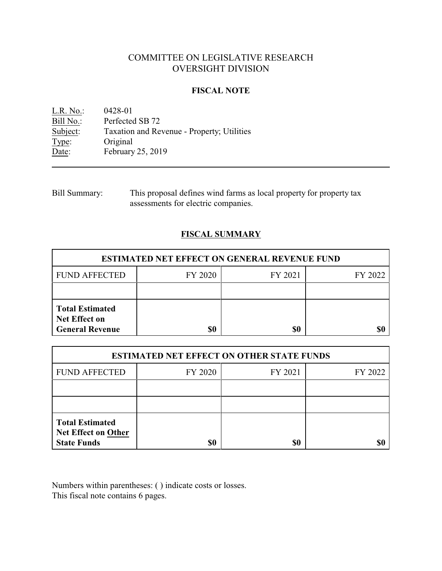# COMMITTEE ON LEGISLATIVE RESEARCH OVERSIGHT DIVISION

# **FISCAL NOTE**

<u>L.R. No.</u>: 0428-01<br>Bill No.: Perfected Bill No.: Perfected SB 72<br>Subject: Taxation and Re Subject: Taxation and Revenue - Property; Utilities<br>Type: Original Type: Original<br>Date: February February 25, 2019

| Bill Summary: | This proposal defines wind farms as local property for property tax |
|---------------|---------------------------------------------------------------------|
|               | assessments for electric companies.                                 |

# **FISCAL SUMMARY**

| <b>ESTIMATED NET EFFECT ON GENERAL REVENUE FUND</b>                      |         |         |         |  |
|--------------------------------------------------------------------------|---------|---------|---------|--|
| <b>FUND AFFECTED</b>                                                     | FY 2020 | FY 2021 | FY 2022 |  |
|                                                                          |         |         |         |  |
| <b>Total Estimated</b><br><b>Net Effect on</b><br><b>General Revenue</b> | \$0     | \$0     |         |  |

| <b>ESTIMATED NET EFFECT ON OTHER STATE FUNDS</b>                           |         |         |         |  |
|----------------------------------------------------------------------------|---------|---------|---------|--|
| <b>FUND AFFECTED</b>                                                       | FY 2020 | FY 2021 | FY 2022 |  |
|                                                                            |         |         |         |  |
|                                                                            |         |         |         |  |
| <b>Total Estimated</b><br><b>Net Effect on Other</b><br><b>State Funds</b> | \$0     | \$0     |         |  |

Numbers within parentheses: ( ) indicate costs or losses. This fiscal note contains 6 pages.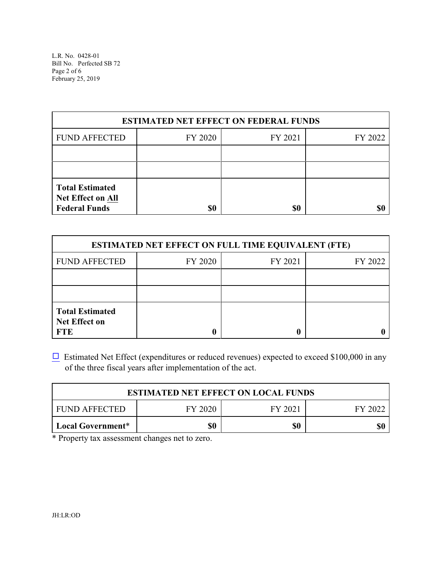L.R. No. 0428-01 Bill No. Perfected SB 72 Page 2 of 6 February 25, 2019

| <b>ESTIMATED NET EFFECT ON FEDERAL FUNDS</b>                        |         |         |         |  |
|---------------------------------------------------------------------|---------|---------|---------|--|
| <b>FUND AFFECTED</b>                                                | FY 2020 | FY 2021 | FY 2022 |  |
|                                                                     |         |         |         |  |
|                                                                     |         |         |         |  |
| <b>Total Estimated</b><br>Net Effect on All<br><b>Federal Funds</b> | \$0     | \$0     |         |  |

| <b>ESTIMATED NET EFFECT ON FULL TIME EQUIVALENT (FTE)</b>    |         |         |         |  |
|--------------------------------------------------------------|---------|---------|---------|--|
| <b>FUND AFFECTED</b>                                         | FY 2020 | FY 2021 | FY 2022 |  |
|                                                              |         |         |         |  |
|                                                              |         |         |         |  |
| <b>Total Estimated</b><br><b>Net Effect on</b><br><b>FTE</b> |         |         |         |  |

 $\Box$  Estimated Net Effect (expenditures or reduced revenues) expected to exceed \$100,000 in any of the three fiscal years after implementation of the act.

| <b>ESTIMATED NET EFFECT ON LOCAL FUNDS</b> |         |         |         |
|--------------------------------------------|---------|---------|---------|
| FUND AFFECTED                              | FY 2020 | FY 2021 | FY 2022 |
| Local Government*                          | \$0     | \$0     |         |

\* Property tax assessment changes net to zero.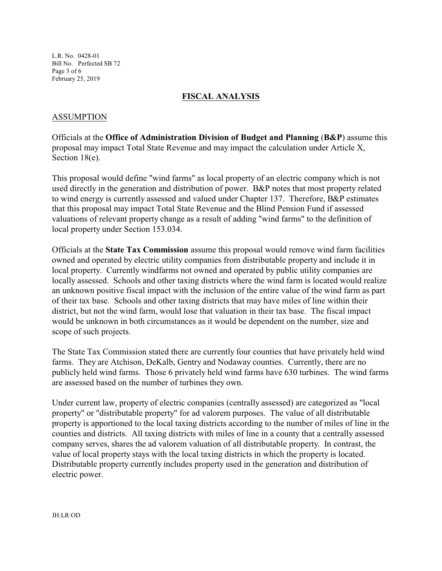L.R. No. 0428-01 Bill No. Perfected SB 72 Page 3 of 6 February 25, 2019

# **FISCAL ANALYSIS**

# ASSUMPTION

Officials at the **Office of Administration Division of Budget and Planning** (**B&P**) assume this proposal may impact Total State Revenue and may impact the calculation under Article X, Section 18(e).

This proposal would define "wind farms" as local property of an electric company which is not used directly in the generation and distribution of power. B&P notes that most property related to wind energy is currently assessed and valued under Chapter 137. Therefore, B&P estimates that this proposal may impact Total State Revenue and the Blind Pension Fund if assessed valuations of relevant property change as a result of adding "wind farms" to the definition of local property under Section 153.034.

Officials at the **State Tax Commission** assume this proposal would remove wind farm facilities owned and operated by electric utility companies from distributable property and include it in local property. Currently windfarms not owned and operated by public utility companies are locally assessed. Schools and other taxing districts where the wind farm is located would realize an unknown positive fiscal impact with the inclusion of the entire value of the wind farm as part of their tax base. Schools and other taxing districts that may have miles of line within their district, but not the wind farm, would lose that valuation in their tax base. The fiscal impact would be unknown in both circumstances as it would be dependent on the number, size and scope of such projects.

The State Tax Commission stated there are currently four counties that have privately held wind farms. They are Atchison, DeKalb, Gentry and Nodaway counties. Currently, there are no publicly held wind farms. Those 6 privately held wind farms have 630 turbines. The wind farms are assessed based on the number of turbines they own.

Under current law, property of electric companies (centrally assessed) are categorized as "local property" or "distributable property" for ad valorem purposes. The value of all distributable property is apportioned to the local taxing districts according to the number of miles of line in the counties and districts. All taxing districts with miles of line in a county that a centrally assessed company serves, shares the ad valorem valuation of all distributable property. In contrast, the value of local property stays with the local taxing districts in which the property is located. Distributable property currently includes property used in the generation and distribution of electric power.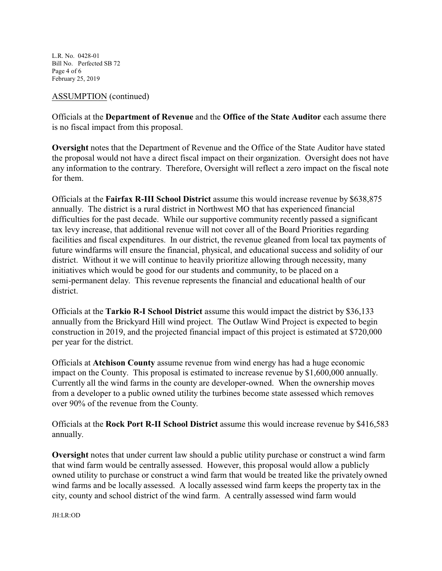L.R. No. 0428-01 Bill No. Perfected SB 72 Page 4 of 6 February 25, 2019

## ASSUMPTION (continued)

Officials at the **Department of Revenue** and the **Office of the State Auditor** each assume there is no fiscal impact from this proposal.

**Oversight** notes that the Department of Revenue and the Office of the State Auditor have stated the proposal would not have a direct fiscal impact on their organization. Oversight does not have any information to the contrary. Therefore, Oversight will reflect a zero impact on the fiscal note for them.

Officials at the **Fairfax R-III School District** assume this would increase revenue by \$638,875 annually. The district is a rural district in Northwest MO that has experienced financial difficulties for the past decade. While our supportive community recently passed a significant tax levy increase, that additional revenue will not cover all of the Board Priorities regarding facilities and fiscal expenditures. In our district, the revenue gleaned from local tax payments of future windfarms will ensure the financial, physical, and educational success and solidity of our district. Without it we will continue to heavily prioritize allowing through necessity, many initiatives which would be good for our students and community, to be placed on a semi-permanent delay. This revenue represents the financial and educational health of our district.

Officials at the **Tarkio R-I School District** assume this would impact the district by \$36,133 annually from the Brickyard Hill wind project. The Outlaw Wind Project is expected to begin construction in 2019, and the projected financial impact of this project is estimated at \$720,000 per year for the district.

Officials at **Atchison County** assume revenue from wind energy has had a huge economic impact on the County. This proposal is estimated to increase revenue by \$1,600,000 annually. Currently all the wind farms in the county are developer-owned. When the ownership moves from a developer to a public owned utility the turbines become state assessed which removes over 90% of the revenue from the County.

Officials at the **Rock Port R-II School District** assume this would increase revenue by \$416,583 annually.

**Oversight** notes that under current law should a public utility purchase or construct a wind farm that wind farm would be centrally assessed. However, this proposal would allow a publicly owned utility to purchase or construct a wind farm that would be treated like the privately owned wind farms and be locally assessed. A locally assessed wind farm keeps the property tax in the city, county and school district of the wind farm. A centrally assessed wind farm would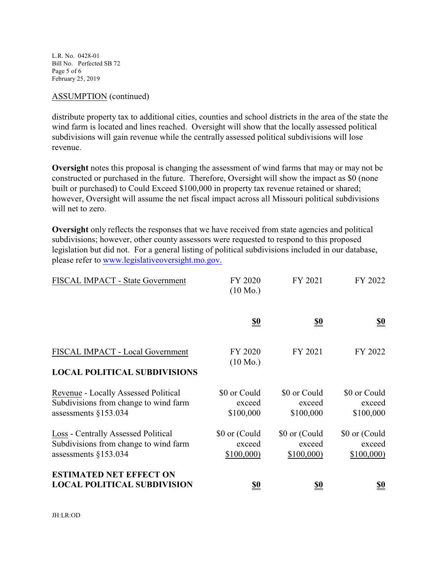L.R. No. 0428-01 Bill No. Perfected SB 72 Page 5 of 6 February 25, 2019

## ASSUMPTION (continued)

distribute property tax to additional cities, counties and school districts in the area of the state the wind farm is located and lines reached. Oversight will show that the locally assessed political subdivisions will gain revenue while the centrally assessed political subdivisions will lose revenue.

**Oversight** notes this proposal is changing the assessment of wind farms that may or may not be constructed or purchased in the future. Therefore, Oversight will show the impact as \$0 (none built or purchased) to Could Exceed \$100,000 in property tax revenue retained or shared; however, Oversight will assume the net fiscal impact across all Missouri political subdivisions will net to zero.

**Oversight** only reflects the responses that we have received from state agencies and political subdivisions; however, other county assessors were requested to respond to this proposed legislation but did not. For a general listing of political subdivisions included in our database, please refer to [www.legislativeoversight.mo.gov.](http://www.legislativeoversight.mo.gov.)

| FISCAL IMPACT - State Government                                                                        | FY 2020<br>$(10 \text{ Mo.})$        | FY 2021                              | FY 2022                              |
|---------------------------------------------------------------------------------------------------------|--------------------------------------|--------------------------------------|--------------------------------------|
|                                                                                                         | $\underline{\underline{\$0}}$        | <u>\$0</u>                           | $\underline{\underline{\$0}}$        |
| FISCAL IMPACT - Local Government<br><b>LOCAL POLITICAL SUBDIVISIONS</b>                                 | FY 2020<br>$(10 \text{ Mo.})$        | FY 2021                              | FY 2022                              |
| Revenue - Locally Assessed Political<br>Subdivisions from change to wind farm<br>assessments $§153.034$ | \$0 or Could<br>exceed<br>\$100,000  | \$0 or Could<br>exceed<br>\$100,000  | \$0 or Could<br>exceed<br>\$100,000  |
| Loss - Centrally Assessed Political<br>Subdivisions from change to wind farm<br>assessments $§153.034$  | \$0 or (Could<br>exceed<br>\$100,000 | \$0 or (Could<br>exceed<br>\$100,000 | \$0 or (Could<br>exceed<br>\$100,000 |
| <b>ESTIMATED NET EFFECT ON</b><br><b>LOCAL POLITICAL SUBDIVISION</b>                                    | <u>\$0</u>                           | <u>\$0</u>                           | <u>\$0</u>                           |